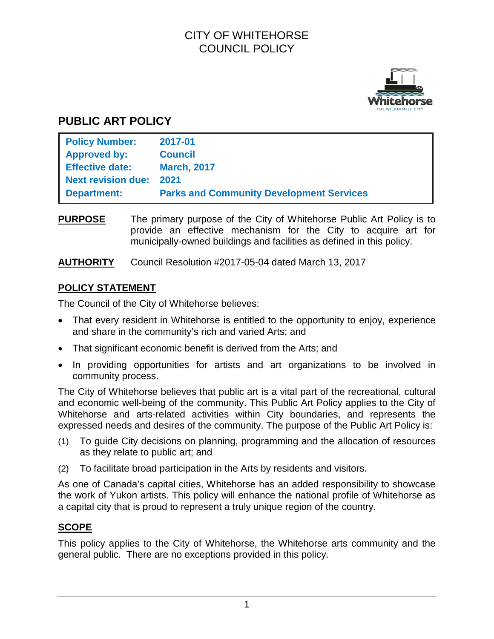# CITY OF WHITEHORSE COUNCIL POLICY



# **PUBLIC ART POLICY**

| <b>Policy Number:</b>          | 2017-01                                         |
|--------------------------------|-------------------------------------------------|
| <b>Approved by:</b>            | <b>Council</b>                                  |
| <b>Effective date:</b>         | <b>March, 2017</b>                              |
| <b>Next revision due: 2021</b> |                                                 |
| <b>Department:</b>             | <b>Parks and Community Development Services</b> |

**PURPOSE** The primary purpose of the City of Whitehorse Public Art Policy is to provide an effective mechanism for the City to acquire art for municipally-owned buildings and facilities as defined in this policy.

**AUTHORITY** Council Resolution #2017-05-04 dated March 13, 2017

# **POLICY STATEMENT**

The Council of the City of Whitehorse believes:

- That every resident in Whitehorse is entitled to the opportunity to enjoy, experience and share in the community's rich and varied Arts; and
- That significant economic benefit is derived from the Arts; and
- In providing opportunities for artists and art organizations to be involved in community process.

The City of Whitehorse believes that public art is a vital part of the recreational, cultural and economic well-being of the community. This Public Art Policy applies to the City of Whitehorse and arts-related activities within City boundaries, and represents the expressed needs and desires of the community. The purpose of the Public Art Policy is:

- (1) To guide City decisions on planning, programming and the allocation of resources as they relate to public art; and
- (2) To facilitate broad participation in the Arts by residents and visitors.

As one of Canada's capital cities, Whitehorse has an added responsibility to showcase the work of Yukon artists. This policy will enhance the national profile of Whitehorse as a capital city that is proud to represent a truly unique region of the country.

# **SCOPE**

This policy applies to the City of Whitehorse, the Whitehorse arts community and the general public. There are no exceptions provided in this policy.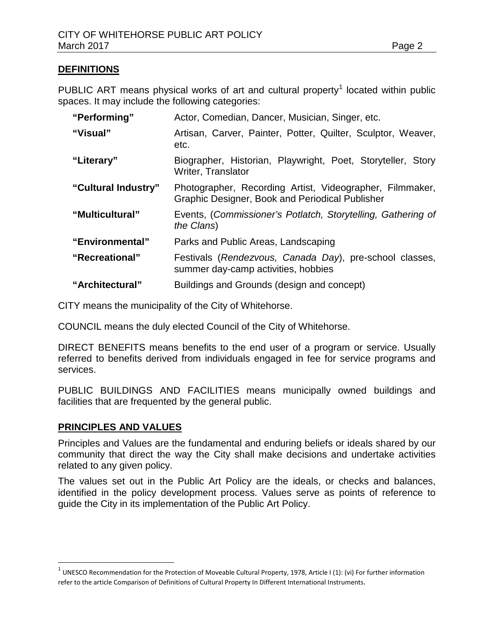# **DEFINITIONS**

PUBLIC ART means physical works of art and cultural property<sup>[1](#page-1-0)</sup> located within public spaces. It may include the following categories:

| "Performing"        | Actor, Comedian, Dancer, Musician, Singer, etc.                                                             |  |
|---------------------|-------------------------------------------------------------------------------------------------------------|--|
| "Visual"            | Artisan, Carver, Painter, Potter, Quilter, Sculptor, Weaver,<br>etc.                                        |  |
| "Literary"          | Biographer, Historian, Playwright, Poet, Storyteller, Story<br>Writer, Translator                           |  |
| "Cultural Industry" | Photographer, Recording Artist, Videographer, Filmmaker,<br>Graphic Designer, Book and Periodical Publisher |  |
| "Multicultural"     | Events, (Commissioner's Potlatch, Storytelling, Gathering of<br>the Clans)                                  |  |
| "Environmental"     | Parks and Public Areas, Landscaping                                                                         |  |
| "Recreational"      | Festivals (Rendezvous, Canada Day), pre-school classes,<br>summer day-camp activities, hobbies              |  |
| "Architectural"     | Buildings and Grounds (design and concept)                                                                  |  |

CITY means the municipality of the City of Whitehorse.

COUNCIL means the duly elected Council of the City of Whitehorse.

DIRECT BENEFITS means benefits to the end user of a program or service. Usually referred to benefits derived from individuals engaged in fee for service programs and services.

PUBLIC BUILDINGS AND FACILITIES means municipally owned buildings and facilities that are frequented by the general public.

# **PRINCIPLES AND VALUES**

Principles and Values are the fundamental and enduring beliefs or ideals shared by our community that direct the way the City shall make decisions and undertake activities related to any given policy.

The values set out in the Public Art Policy are the ideals, or checks and balances, identified in the policy development process. Values serve as points of reference to guide the City in its implementation of the Public Art Policy.

<span id="page-1-0"></span> $1$  UNESCO Recommendation for the Protection of Moveable Cultural Property, 1978, Article I (1): (vi) For further information refer to the article Comparison of Definitions of Cultural Property In Different International Instruments.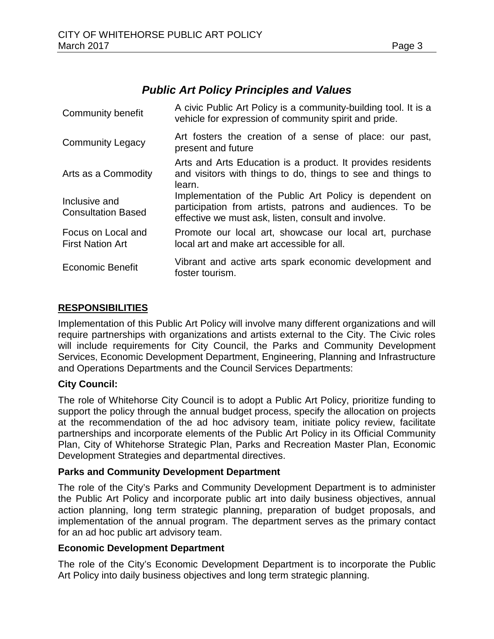# *Public Art Policy Principles and Values*

| Community benefit                             | A civic Public Art Policy is a community-building tool. It is a<br>vehicle for expression of community spirit and pride.                                                   |  |  |
|-----------------------------------------------|----------------------------------------------------------------------------------------------------------------------------------------------------------------------------|--|--|
| <b>Community Legacy</b>                       | Art fosters the creation of a sense of place: our past,<br>present and future                                                                                              |  |  |
| Arts as a Commodity                           | Arts and Arts Education is a product. It provides residents<br>and visitors with things to do, things to see and things to<br>learn.                                       |  |  |
| Inclusive and<br><b>Consultation Based</b>    | Implementation of the Public Art Policy is dependent on<br>participation from artists, patrons and audiences. To be<br>effective we must ask, listen, consult and involve. |  |  |
| Focus on Local and<br><b>First Nation Art</b> | Promote our local art, showcase our local art, purchase<br>local art and make art accessible for all.                                                                      |  |  |
| <b>Economic Benefit</b>                       | Vibrant and active arts spark economic development and<br>foster tourism.                                                                                                  |  |  |

# **RESPONSIBILITIES**

Implementation of this Public Art Policy will involve many different organizations and will require partnerships with organizations and artists external to the City. The Civic roles will include requirements for City Council, the Parks and Community Development Services, Economic Development Department, Engineering, Planning and Infrastructure and Operations Departments and the Council Services Departments:

# **City Council:**

The role of Whitehorse City Council is to adopt a Public Art Policy, prioritize funding to support the policy through the annual budget process, specify the allocation on projects at the recommendation of the ad hoc advisory team, initiate policy review, facilitate partnerships and incorporate elements of the Public Art Policy in its Official Community Plan, City of Whitehorse Strategic Plan, Parks and Recreation Master Plan, Economic Development Strategies and departmental directives.

# **Parks and Community Development Department**

The role of the City's Parks and Community Development Department is to administer the Public Art Policy and incorporate public art into daily business objectives, annual action planning, long term strategic planning, preparation of budget proposals, and implementation of the annual program. The department serves as the primary contact for an ad hoc public art advisory team.

# **Economic Development Department**

The role of the City's Economic Development Department is to incorporate the Public Art Policy into daily business objectives and long term strategic planning.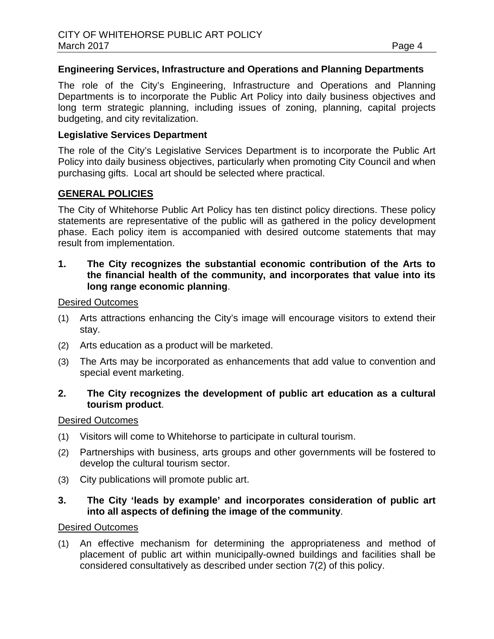# **Engineering Services, Infrastructure and Operations and Planning Departments**

The role of the City's Engineering, Infrastructure and Operations and Planning Departments is to incorporate the Public Art Policy into daily business objectives and long term strategic planning, including issues of zoning, planning, capital projects budgeting, and city revitalization.

### **Legislative Services Department**

The role of the City's Legislative Services Department is to incorporate the Public Art Policy into daily business objectives, particularly when promoting City Council and when purchasing gifts. Local art should be selected where practical.

# **GENERAL POLICIES**

The City of Whitehorse Public Art Policy has ten distinct policy directions. These policy statements are representative of the public will as gathered in the policy development phase. Each policy item is accompanied with desired outcome statements that may result from implementation.

### **1. The City recognizes the substantial economic contribution of the Arts to the financial health of the community, and incorporates that value into its long range economic planning**.

#### Desired Outcomes

- (1) Arts attractions enhancing the City's image will encourage visitors to extend their stay.
- (2) Arts education as a product will be marketed.
- (3) The Arts may be incorporated as enhancements that add value to convention and special event marketing.

# **2. The City recognizes the development of public art education as a cultural tourism product**.

#### Desired Outcomes

- (1) Visitors will come to Whitehorse to participate in cultural tourism.
- (2) Partnerships with business, arts groups and other governments will be fostered to develop the cultural tourism sector.
- (3) City publications will promote public art.

# **3. The City 'leads by example' and incorporates consideration of public art into all aspects of defining the image of the community**.

#### Desired Outcomes

(1) An effective mechanism for determining the appropriateness and method of placement of public art within municipally-owned buildings and facilities shall be considered consultatively as described under section 7(2) of this policy.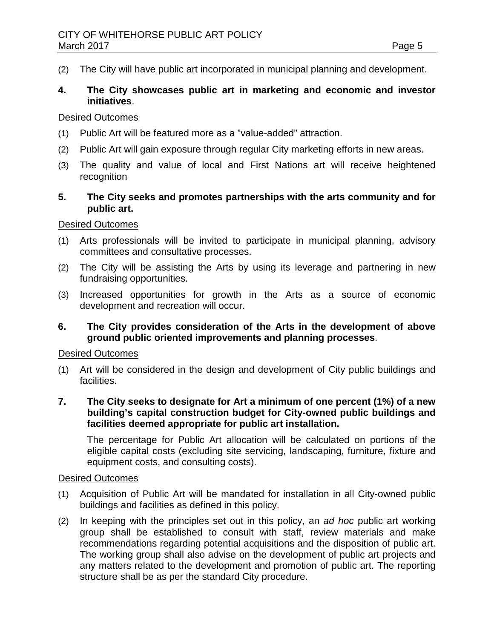(2) The City will have public art incorporated in municipal planning and development.

# **4. The City showcases public art in marketing and economic and investor initiatives**.

#### Desired Outcomes

- (1) Public Art will be featured more as a "value-added" attraction.
- (2) Public Art will gain exposure through regular City marketing efforts in new areas.
- (3) The quality and value of local and First Nations art will receive heightened recognition
- **5. The City seeks and promotes partnerships with the arts community and for public art.**

#### Desired Outcomes

- (1) Arts professionals will be invited to participate in municipal planning, advisory committees and consultative processes.
- (2) The City will be assisting the Arts by using its leverage and partnering in new fundraising opportunities.
- (3) Increased opportunities for growth in the Arts as a source of economic development and recreation will occur.
- **6. The City provides consideration of the Arts in the development of above ground public oriented improvements and planning processes**.

#### Desired Outcomes

- (1) Art will be considered in the design and development of City public buildings and facilities.
- **7. The City seeks to designate for Art a minimum of one percent (1%) of a new building's capital construction budget for City-owned public buildings and facilities deemed appropriate for public art installation.**

The percentage for Public Art allocation will be calculated on portions of the eligible capital costs (excluding site servicing, landscaping, furniture, fixture and equipment costs, and consulting costs).

#### Desired Outcomes

- (1) Acquisition of Public Art will be mandated for installation in all City-owned public buildings and facilities as defined in this policy.
- (2) In keeping with the principles set out in this policy, an *ad hoc* public art working group shall be established to consult with staff, review materials and make recommendations regarding potential acquisitions and the disposition of public art. The working group shall also advise on the development of public art projects and any matters related to the development and promotion of public art. The reporting structure shall be as per the standard City procedure.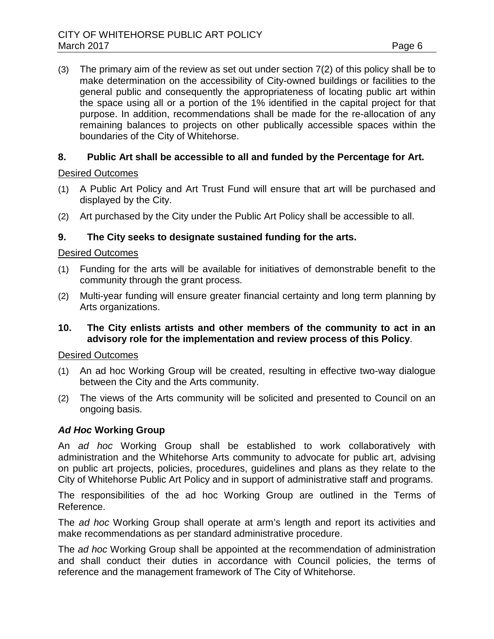(3) The primary aim of the review as set out under section 7(2) of this policy shall be to make determination on the accessibility of City-owned buildings or facilities to the general public and consequently the appropriateness of locating public art within the space using all or a portion of the 1% identified in the capital project for that purpose. In addition, recommendations shall be made for the re-allocation of any remaining balances to projects on other publically accessible spaces within the boundaries of the City of Whitehorse.

# **8. Public Art shall be accessible to all and funded by the Percentage for Art.**

# Desired Outcomes

- (1) A Public Art Policy and Art Trust Fund will ensure that art will be purchased and displayed by the City.
- (2) Art purchased by the City under the Public Art Policy shall be accessible to all.

# **9. The City seeks to designate sustained funding for the arts.**

# Desired Outcomes

- (1) Funding for the arts will be available for initiatives of demonstrable benefit to the community through the grant process.
- (2) Multi-year funding will ensure greater financial certainty and long term planning by Arts organizations.
- **10. The City enlists artists and other members of the community to act in an advisory role for the implementation and review process of this Policy**.

# Desired Outcomes

- (1) An ad hoc Working Group will be created, resulting in effective two-way dialogue between the City and the Arts community.
- (2) The views of the Arts community will be solicited and presented to Council on an ongoing basis.

# *Ad Hoc* **Working Group**

An *ad hoc* Working Group shall be established to work collaboratively with administration and the Whitehorse Arts community to advocate for public art, advising on public art projects, policies, procedures, guidelines and plans as they relate to the City of Whitehorse Public Art Policy and in support of administrative staff and programs.

The responsibilities of the ad hoc Working Group are outlined in the Terms of Reference.

The *ad hoc* Working Group shall operate at arm's length and report its activities and make recommendations as per standard administrative procedure.

The *ad hoc* Working Group shall be appointed at the recommendation of administration and shall conduct their duties in accordance with Council policies, the terms of reference and the management framework of The City of Whitehorse.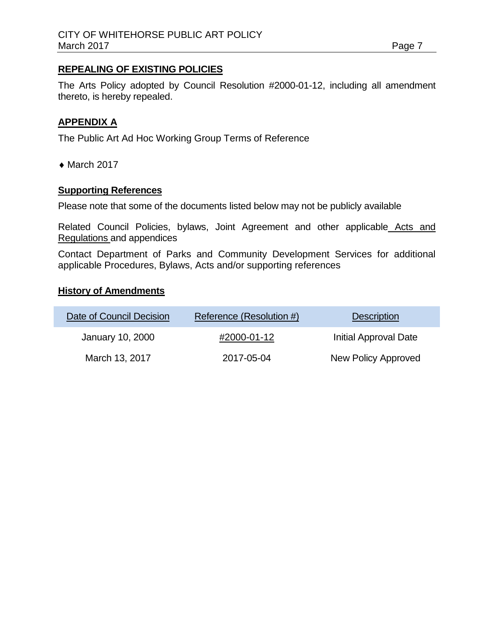# **REPEALING OF EXISTING POLICIES**

The Arts Policy adopted by Council Resolution #2000-01-12, including all amendment thereto, is hereby repealed.

# **APPENDIX A**

The Public Art Ad Hoc Working Group Terms of Reference

 $\triangleleft$  March 2017

### **Supporting References**

Please note that some of the documents listed below may not be publicly available

Related Council Policies, bylaws, Joint Agreement and other applicable Acts and Regulations and appendices

Contact Department of Parks and Community Development Services for additional applicable Procedures, Bylaws, Acts and/or supporting references

#### **History of Amendments**

| Date of Council Decision | Reference (Resolution #) | <b>Description</b>    |
|--------------------------|--------------------------|-----------------------|
| January 10, 2000         | #2000-01-12              | Initial Approval Date |
| March 13, 2017           | 2017-05-04               | New Policy Approved   |